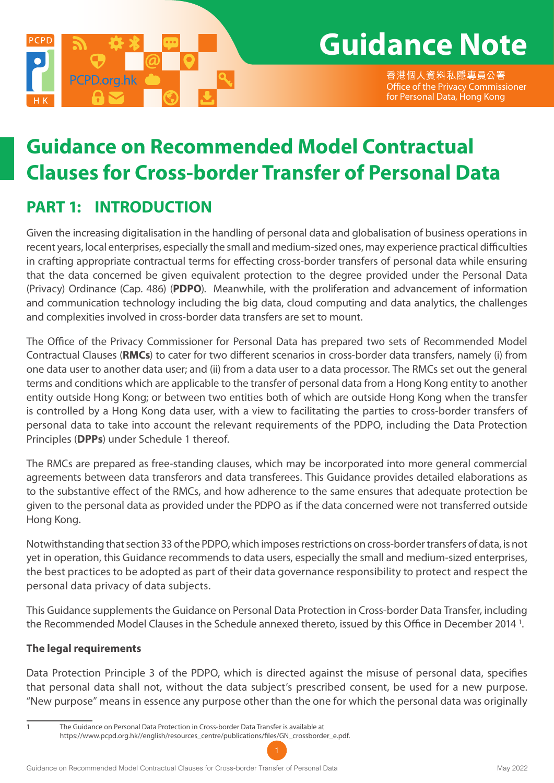

# **Guidance Note**

香港個人資料私隱專員公署 Office of the Privacy Commissioner for Personal Data, Hong Kong

## **Guidance on Recommended Model Contractual Clauses for Cross-border Transfer of Personal Data**

## **PART 1: INTRODUCTION**

Given the increasing digitalisation in the handling of personal data and globalisation of business operations in recent years, local enterprises, especially the small and medium-sized ones, may experience practical difficulties in crafting appropriate contractual terms for effecting cross-border transfers of personal data while ensuring that the data concerned be given equivalent protection to the degree provided under the Personal Data (Privacy) Ordinance (Cap. 486) (**PDPO**). Meanwhile, with the proliferation and advancement of information and communication technology including the big data, cloud computing and data analytics, the challenges and complexities involved in cross-border data transfers are set to mount.

The Office of the Privacy Commissioner for Personal Data has prepared two sets of Recommended Model Contractual Clauses (**RMCs**) to cater for two different scenarios in cross-border data transfers, namely (i) from one data user to another data user; and (ii) from a data user to a data processor. The RMCs set out the general terms and conditions which are applicable to the transfer of personal data from a Hong Kong entity to another entity outside Hong Kong; or between two entities both of which are outside Hong Kong when the transfer is controlled by a Hong Kong data user, with a view to facilitating the parties to cross-border transfers of personal data to take into account the relevant requirements of the PDPO, including the Data Protection Principles (**DPPs**) under Schedule 1 thereof.

The RMCs are prepared as free-standing clauses, which may be incorporated into more general commercial agreements between data transferors and data transferees. This Guidance provides detailed elaborations as to the substantive effect of the RMCs, and how adherence to the same ensures that adequate protection be given to the personal data as provided under the PDPO as if the data concerned were not transferred outside Hong Kong.

Notwithstanding that section 33 of the PDPO, which imposes restrictions on cross-border transfers of data, is not yet in operation, this Guidance recommends to data users, especially the small and medium-sized enterprises, the best practices to be adopted as part of their data governance responsibility to protect and respect the personal data privacy of data subjects.

This Guidance supplements the Guidance on Personal Data Protection in Cross-border Data Transfer, including the Recommended Model Clauses in the Schedule annexed thereto, issued by this Office in December 2014 <sup>1</sup>.

#### **The legal requirements**

Data Protection Principle 3 of the PDPO, which is directed against the misuse of personal data, specifies that personal data shall not, without the data subject's prescribed consent, be used for a new purpose. "New purpose" means in essence any purpose other than the one for which the personal data was originally

<sup>1</sup> The Guidance on Personal Data Protection in Cross-border Data Transfer is available at https://www.pcpd.org.hk//english/resources\_centre/publications/files/GN\_crossborder\_e.pdf.

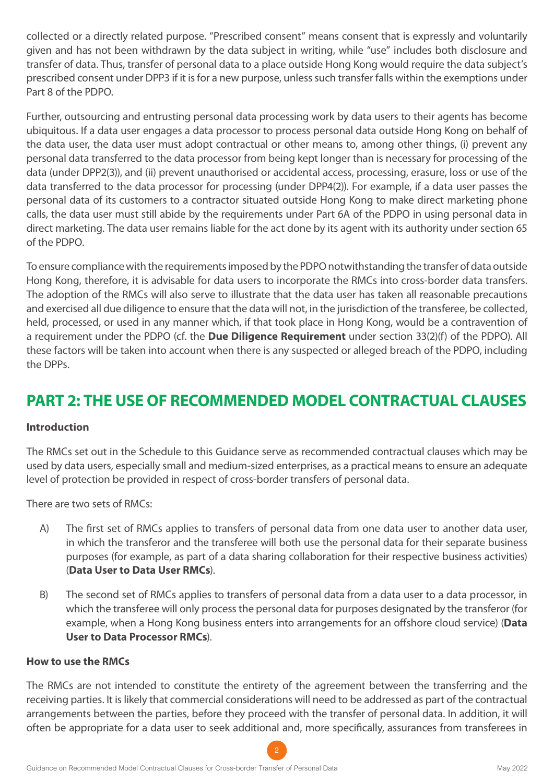collected or a directly related purpose. "Prescribed consent" means consent that is expressly and voluntarily given and has not been withdrawn by the data subject in writing, while "use" includes both disclosure and transfer of data. Thus, transfer of personal data to a place outside Hong Kong would require the data subject's prescribed consent under DPP3 if it is for a new purpose, unless such transfer falls within the exemptions under Part 8 of the PDPO.

Further, outsourcing and entrusting personal data processing work by data users to their agents has become ubiquitous. If a data user engages a data processor to process personal data outside Hong Kong on behalf of the data user, the data user must adopt contractual or other means to, among other things, (i) prevent any personal data transferred to the data processor from being kept longer than is necessary for processing of the data (under DPP2(3)), and (ii) prevent unauthorised or accidental access, processing, erasure, loss or use of the data transferred to the data processor for processing (under DPP4(2)). For example, if a data user passes the personal data of its customers to a contractor situated outside Hong Kong to make direct marketing phone calls, the data user must still abide by the requirements under Part 6A of the PDPO in using personal data in direct marketing. The data user remains liable for the act done by its agent with its authority under section 65 of the PDPO.

To ensure compliance with the requirements imposed by the PDPO notwithstanding the transfer of data outside Hong Kong, therefore, it is advisable for data users to incorporate the RMCs into cross-border data transfers. The adoption of the RMCs will also serve to illustrate that the data user has taken all reasonable precautions and exercised all due diligence to ensure that the data will not, in the jurisdiction of the transferee, be collected, held, processed, or used in any manner which, if that took place in Hong Kong, would be a contravention of a requirement under the PDPO (cf. the **Due Diligence Requirement** under section 33(2)(f) of the PDPO). All these factors will be taken into account when there is any suspected or alleged breach of the PDPO, including the DPPs.

## **PART 2: THE USE OF RECOMMENDED MODEL CONTRACTUAL CLAUSES**

#### **Introduction**

The RMCs set out in the Schedule to this Guidance serve as recommended contractual clauses which may be used by data users, especially small and medium-sized enterprises, as a practical means to ensure an adequate level of protection be provided in respect of cross-border transfers of personal data.

There are two sets of RMCs:

- A) The first set of RMCs applies to transfers of personal data from one data user to another data user, in which the transferor and the transferee will both use the personal data for their separate business purposes (for example, as part of a data sharing collaboration for their respective business activities) (**Data User to Data User RMCs**).
- B) The second set of RMCs applies to transfers of personal data from a data user to a data processor, in which the transferee will only process the personal data for purposes designated by the transferor (for example, when a Hong Kong business enters into arrangements for an offshore cloud service) (**Data User to Data Processor RMCs**).

#### **How to use the RMCs**

The RMCs are not intended to constitute the entirety of the agreement between the transferring and the receiving parties. It is likely that commercial considerations will need to be addressed as part of the contractual arrangements between the parties, before they proceed with the transfer of personal data. In addition, it will often be appropriate for a data user to seek additional and, more specifically, assurances from transferees in

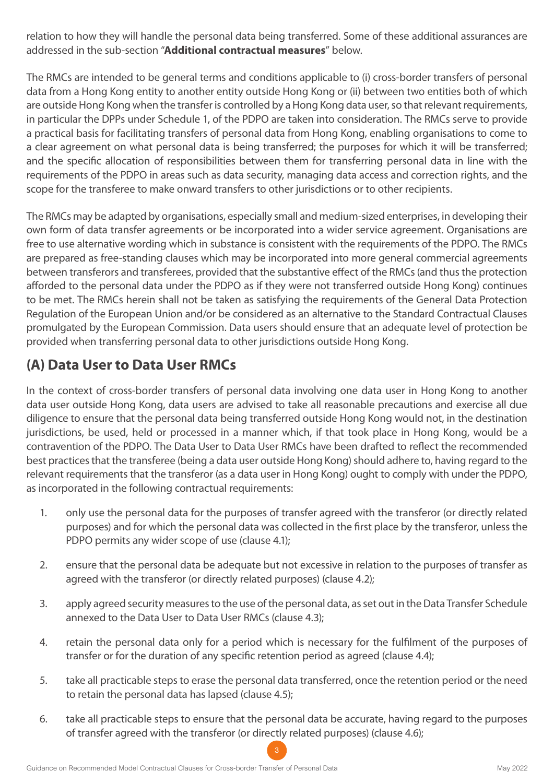relation to how they will handle the personal data being transferred. Some of these additional assurances are addressed in the sub-section "**Additional contractual measures**" below.

The RMCs are intended to be general terms and conditions applicable to (i) cross-border transfers of personal data from a Hong Kong entity to another entity outside Hong Kong or (ii) between two entities both of which are outside Hong Kong when the transfer is controlled by a Hong Kong data user, so that relevant requirements, in particular the DPPs under Schedule 1, of the PDPO are taken into consideration. The RMCs serve to provide a practical basis for facilitating transfers of personal data from Hong Kong, enabling organisations to come to a clear agreement on what personal data is being transferred; the purposes for which it will be transferred; and the specific allocation of responsibilities between them for transferring personal data in line with the requirements of the PDPO in areas such as data security, managing data access and correction rights, and the scope for the transferee to make onward transfers to other jurisdictions or to other recipients.

The RMCs may be adapted by organisations, especially small and medium-sized enterprises, in developing their own form of data transfer agreements or be incorporated into a wider service agreement. Organisations are free to use alternative wording which in substance is consistent with the requirements of the PDPO. The RMCs are prepared as free-standing clauses which may be incorporated into more general commercial agreements between transferors and transferees, provided that the substantive effect of the RMCs (and thus the protection afforded to the personal data under the PDPO as if they were not transferred outside Hong Kong) continues to be met. The RMCs herein shall not be taken as satisfying the requirements of the General Data Protection Regulation of the European Union and/or be considered as an alternative to the Standard Contractual Clauses promulgated by the European Commission. Data users should ensure that an adequate level of protection be provided when transferring personal data to other jurisdictions outside Hong Kong.

## **(A) Data User to Data User RMCs**

In the context of cross-border transfers of personal data involving one data user in Hong Kong to another data user outside Hong Kong, data users are advised to take all reasonable precautions and exercise all due diligence to ensure that the personal data being transferred outside Hong Kong would not, in the destination jurisdictions, be used, held or processed in a manner which, if that took place in Hong Kong, would be a contravention of the PDPO. The Data User to Data User RMCs have been drafted to reflect the recommended best practices that the transferee (being a data user outside Hong Kong) should adhere to, having regard to the relevant requirements that the transferor (as a data user in Hong Kong) ought to comply with under the PDPO, as incorporated in the following contractual requirements:

- 1. only use the personal data for the purposes of transfer agreed with the transferor (or directly related purposes) and for which the personal data was collected in the first place by the transferor, unless the PDPO permits any wider scope of use (clause 4.1);
- 2. ensure that the personal data be adequate but not excessive in relation to the purposes of transfer as agreed with the transferor (or directly related purposes) (clause 4.2);
- 3. apply agreed security measures to the use of the personal data, as set out in the Data Transfer Schedule annexed to the Data User to Data User RMCs (clause 4.3);
- 4. retain the personal data only for a period which is necessary for the fulfilment of the purposes of transfer or for the duration of any specific retention period as agreed (clause 4.4);
- 5. take all practicable steps to erase the personal data transferred, once the retention period or the need to retain the personal data has lapsed (clause 4.5);
- 6. take all practicable steps to ensure that the personal data be accurate, having regard to the purposes of transfer agreed with the transferor (or directly related purposes) (clause 4.6);

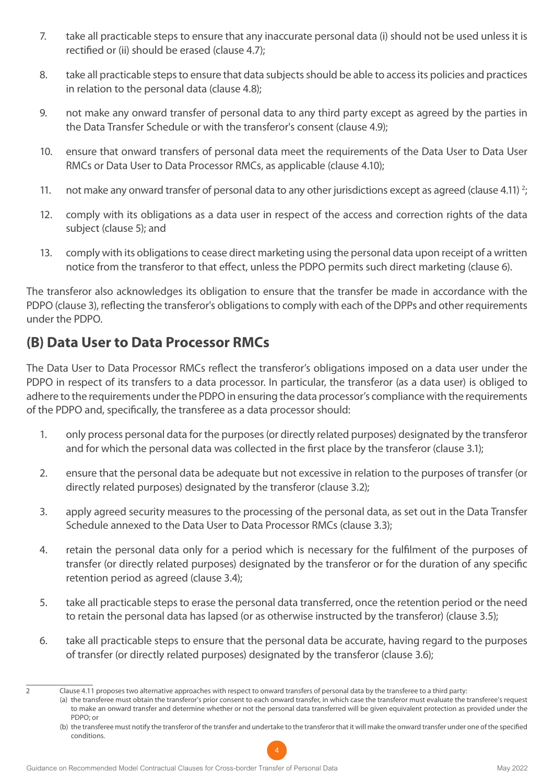- 7. take all practicable steps to ensure that any inaccurate personal data (i) should not be used unless it is rectified or (ii) should be erased (clause 4.7);
- 8. take all practicable steps to ensure that data subjects should be able to access its policies and practices in relation to the personal data (clause 4.8);
- 9. not make any onward transfer of personal data to any third party except as agreed by the parties in the Data Transfer Schedule or with the transferor's consent (clause 4.9);
- 10. ensure that onward transfers of personal data meet the requirements of the Data User to Data User RMCs or Data User to Data Processor RMCs, as applicable (clause 4.10);
- 11. not make any onward transfer of personal data to any other jurisdictions except as agreed (clause 4.11)  $^{2}$
- 12. comply with its obligations as a data user in respect of the access and correction rights of the data subject (clause 5); and
- 13. comply with its obligations to cease direct marketing using the personal data upon receipt of a written notice from the transferor to that effect, unless the PDPO permits such direct marketing (clause 6).

The transferor also acknowledges its obligation to ensure that the transfer be made in accordance with the PDPO (clause 3), reflecting the transferor's obligations to comply with each of the DPPs and other requirements under the PDPO.

### **(B) Data User to Data Processor RMCs**

The Data User to Data Processor RMCs reflect the transferor's obligations imposed on a data user under the PDPO in respect of its transfers to a data processor. In particular, the transferor (as a data user) is obliged to adhere to the requirements under the PDPO in ensuring the data processor's compliance with the requirements of the PDPO and, specifically, the transferee as a data processor should:

- 1. only process personal data for the purposes (or directly related purposes) designated by the transferor and for which the personal data was collected in the first place by the transferor (clause 3.1);
- 2. ensure that the personal data be adequate but not excessive in relation to the purposes of transfer (or directly related purposes) designated by the transferor (clause 3.2);
- 3. apply agreed security measures to the processing of the personal data, as set out in the Data Transfer Schedule annexed to the Data User to Data Processor RMCs (clause 3.3);
- 4. retain the personal data only for a period which is necessary for the fulfilment of the purposes of transfer (or directly related purposes) designated by the transferor or for the duration of any specific retention period as agreed (clause 3.4);
- 5. take all practicable steps to erase the personal data transferred, once the retention period or the need to retain the personal data has lapsed (or as otherwise instructed by the transferor) (clause 3.5);
- 6. take all practicable steps to ensure that the personal data be accurate, having regard to the purposes of transfer (or directly related purposes) designated by the transferor (clause 3.6);

(a) the transferee must obtain the transferor's prior consent to each onward transfer, in which case the transferor must evaluate the transferee's request to make an onward transfer and determine whether or not the personal data transferred will be given equivalent protection as provided under the PDPO; or

<sup>(</sup>b) the transferee must notify the transferor of the transfer and undertake to the transferor that it will make the onward transfer under one of the specified conditions.



<sup>2</sup> Clause 4.11 proposes two alternative approaches with respect to onward transfers of personal data by the transferee to a third party: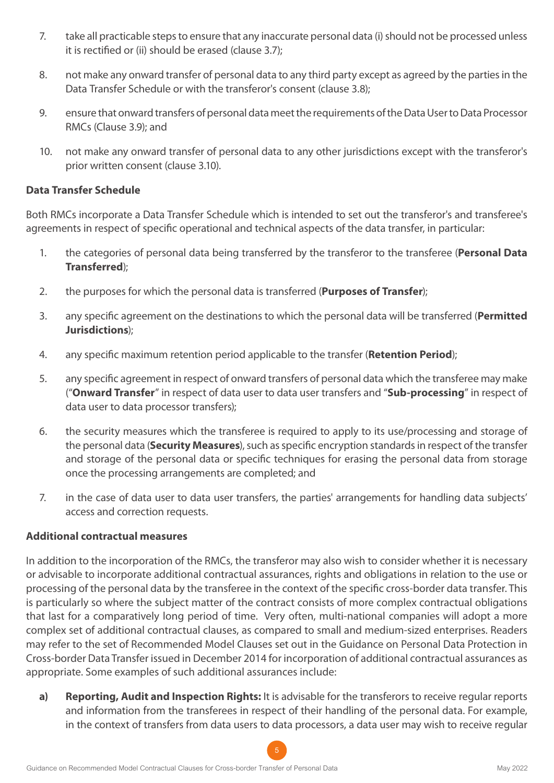- 7. take all practicable steps to ensure that any inaccurate personal data (i) should not be processed unless it is rectified or (ii) should be erased (clause 3.7);
- 8. not make any onward transfer of personal data to any third party except as agreed by the parties in the Data Transfer Schedule or with the transferor's consent (clause 3.8);
- 9. ensure that onward transfers of personal data meet the requirements of the Data User to Data Processor RMCs (Clause 3.9); and
- 10. not make any onward transfer of personal data to any other jurisdictions except with the transferor's prior written consent (clause 3.10).

#### **Data Transfer Schedule**

Both RMCs incorporate a Data Transfer Schedule which is intended to set out the transferor's and transferee's agreements in respect of specific operational and technical aspects of the data transfer, in particular:

- 1. the categories of personal data being transferred by the transferor to the transferee (**Personal Data Transferred**);
- 2. the purposes for which the personal data is transferred (**Purposes of Transfer**);
- 3. any specific agreement on the destinations to which the personal data will be transferred (**Permitted Jurisdictions**);
- 4. any specific maximum retention period applicable to the transfer (**Retention Period**);
- 5. any specific agreement in respect of onward transfers of personal data which the transferee may make ("**Onward Transfer**" in respect of data user to data user transfers and "**Sub-processing**" in respect of data user to data processor transfers);
- 6. the security measures which the transferee is required to apply to its use/processing and storage of the personal data (**Security Measures**), such as specific encryption standards in respect of the transfer and storage of the personal data or specific techniques for erasing the personal data from storage once the processing arrangements are completed; and
- 7. in the case of data user to data user transfers, the parties' arrangements for handling data subjects' access and correction requests.

#### **Additional contractual measures**

In addition to the incorporation of the RMCs, the transferor may also wish to consider whether it is necessary or advisable to incorporate additional contractual assurances, rights and obligations in relation to the use or processing of the personal data by the transferee in the context of the specific cross-border data transfer. This is particularly so where the subject matter of the contract consists of more complex contractual obligations that last for a comparatively long period of time. Very often, multi-national companies will adopt a more complex set of additional contractual clauses, as compared to small and medium-sized enterprises. Readers may refer to the set of Recommended Model Clauses set out in the Guidance on Personal Data Protection in Cross-border Data Transfer issued in December 2014 for incorporation of additional contractual assurances as appropriate. Some examples of such additional assurances include:

**a) Reporting, Audit and Inspection Rights:** It is advisable for the transferors to receive regular reports and information from the transferees in respect of their handling of the personal data. For example, in the context of transfers from data users to data processors, a data user may wish to receive regular

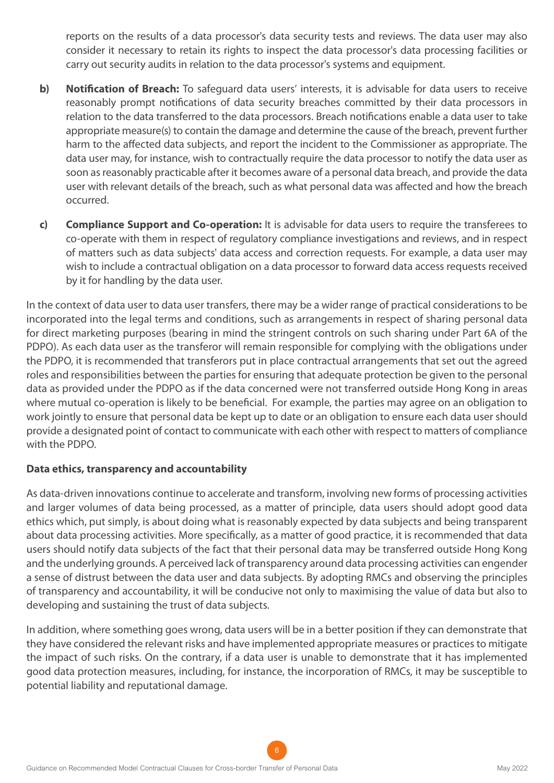reports on the results of a data processor's data security tests and reviews. The data user may also consider it necessary to retain its rights to inspect the data processor's data processing facilities or carry out security audits in relation to the data processor's systems and equipment.

- **b) Notification of Breach:** To safeguard data users' interests, it is advisable for data users to receive reasonably prompt notifications of data security breaches committed by their data processors in relation to the data transferred to the data processors. Breach notifications enable a data user to take appropriate measure(s) to contain the damage and determine the cause of the breach, prevent further harm to the affected data subjects, and report the incident to the Commissioner as appropriate. The data user may, for instance, wish to contractually require the data processor to notify the data user as soon as reasonably practicable after it becomes aware of a personal data breach, and provide the data user with relevant details of the breach, such as what personal data was affected and how the breach occurred.
- **c) Compliance Support and Co-operation:** It is advisable for data users to require the transferees to co-operate with them in respect of regulatory compliance investigations and reviews, and in respect of matters such as data subjects' data access and correction requests. For example, a data user may wish to include a contractual obligation on a data processor to forward data access requests received by it for handling by the data user.

In the context of data user to data user transfers, there may be a wider range of practical considerations to be incorporated into the legal terms and conditions, such as arrangements in respect of sharing personal data for direct marketing purposes (bearing in mind the stringent controls on such sharing under Part 6A of the PDPO). As each data user as the transferor will remain responsible for complying with the obligations under the PDPO, it is recommended that transferors put in place contractual arrangements that set out the agreed roles and responsibilities between the parties for ensuring that adequate protection be given to the personal data as provided under the PDPO as if the data concerned were not transferred outside Hong Kong in areas where mutual co-operation is likely to be beneficial. For example, the parties may agree on an obligation to work jointly to ensure that personal data be kept up to date or an obligation to ensure each data user should provide a designated point of contact to communicate with each other with respect to matters of compliance with the PDPO.

#### **Data ethics, transparency and accountability**

As data-driven innovations continue to accelerate and transform, involving new forms of processing activities and larger volumes of data being processed, as a matter of principle, data users should adopt good data ethics which, put simply, is about doing what is reasonably expected by data subjects and being transparent about data processing activities. More specifically, as a matter of good practice, it is recommended that data users should notify data subjects of the fact that their personal data may be transferred outside Hong Kong and the underlying grounds. A perceived lack of transparency around data processing activities can engender a sense of distrust between the data user and data subjects. By adopting RMCs and observing the principles of transparency and accountability, it will be conducive not only to maximising the value of data but also to developing and sustaining the trust of data subjects.

In addition, where something goes wrong, data users will be in a better position if they can demonstrate that they have considered the relevant risks and have implemented appropriate measures or practices to mitigate the impact of such risks. On the contrary, if a data user is unable to demonstrate that it has implemented good data protection measures, including, for instance, the incorporation of RMCs, it may be susceptible to potential liability and reputational damage.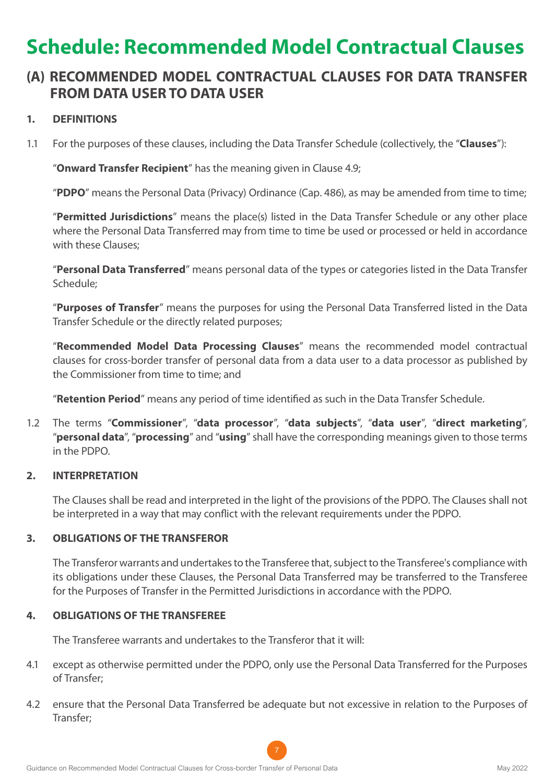## **Schedule: Recommended Model Contractual Clauses**

### **(A) RECOMMENDED MODEL CONTRACTUAL CLAUSES FOR DATA TRANSFER FROM DATA USER TO DATA USER**

#### **1. DEFINITIONS**

1.1 For the purposes of these clauses, including the Data Transfer Schedule (collectively, the "**Clauses**"):

"**Onward Transfer Recipient**" has the meaning given in Clause 4.9;

"**PDPO**" means the Personal Data (Privacy) Ordinance (Cap. 486), as may be amended from time to time;

"**Permitted Jurisdictions**" means the place(s) listed in the Data Transfer Schedule or any other place where the Personal Data Transferred may from time to time be used or processed or held in accordance with these Clauses;

"**Personal Data Transferred**" means personal data of the types or categories listed in the Data Transfer Schedule;

"**Purposes of Transfer**" means the purposes for using the Personal Data Transferred listed in the Data Transfer Schedule or the directly related purposes;

"**Recommended Model Data Processing Clauses**" means the recommended model contractual clauses for cross-border transfer of personal data from a data user to a data processor as published by the Commissioner from time to time; and

"**Retention Period**" means any period of time identified as such in the Data Transfer Schedule.

1.2 The terms "**Commissioner**", "**data processor**", "**data subjects**", "**data user**", "**direct marketing**", "**personal data**", "**processing**" and "**using**" shall have the corresponding meanings given to those terms in the PDPO.

#### **2. INTERPRETATION**

The Clauses shall be read and interpreted in the light of the provisions of the PDPO. The Clauses shall not be interpreted in a way that may conflict with the relevant requirements under the PDPO.

#### **3. OBLIGATIONS OF THE TRANSFEROR**

The Transferor warrants and undertakes to the Transferee that, subject to the Transferee's compliance with its obligations under these Clauses, the Personal Data Transferred may be transferred to the Transferee for the Purposes of Transfer in the Permitted Jurisdictions in accordance with the PDPO.

#### **4. OBLIGATIONS OF THE TRANSFEREE**

The Transferee warrants and undertakes to the Transferor that it will:

- 4.1 except as otherwise permitted under the PDPO, only use the Personal Data Transferred for the Purposes of Transfer;
- 4.2 ensure that the Personal Data Transferred be adequate but not excessive in relation to the Purposes of Transfer;

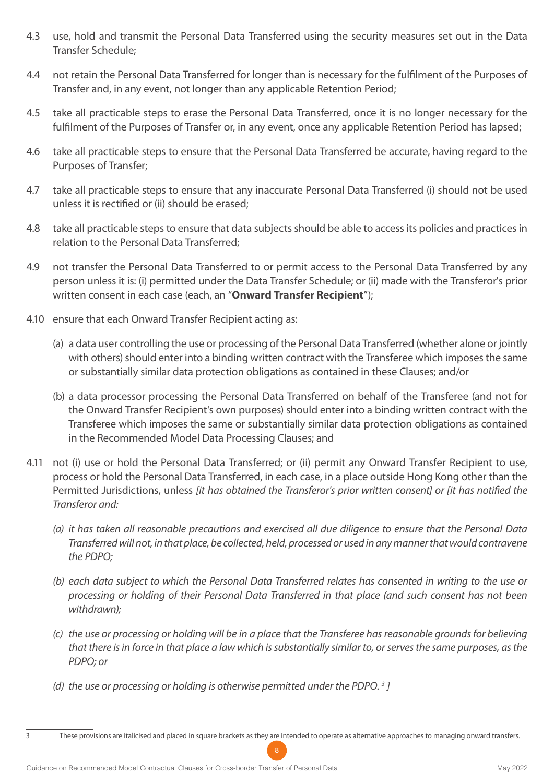- 4.3 use, hold and transmit the Personal Data Transferred using the security measures set out in the Data Transfer Schedule;
- 4.4 not retain the Personal Data Transferred for longer than is necessary for the fulfilment of the Purposes of Transfer and, in any event, not longer than any applicable Retention Period;
- 4.5 take all practicable steps to erase the Personal Data Transferred, once it is no longer necessary for the fulfilment of the Purposes of Transfer or, in any event, once any applicable Retention Period has lapsed;
- 4.6 take all practicable steps to ensure that the Personal Data Transferred be accurate, having regard to the Purposes of Transfer;
- 4.7 take all practicable steps to ensure that any inaccurate Personal Data Transferred (i) should not be used unless it is rectified or (ii) should be erased;
- 4.8 take all practicable steps to ensure that data subjects should be able to access its policies and practices in relation to the Personal Data Transferred;
- 4.9 not transfer the Personal Data Transferred to or permit access to the Personal Data Transferred by any person unless it is: (i) permitted under the Data Transfer Schedule; or (ii) made with the Transferor's prior written consent in each case (each, an "**Onward Transfer Recipient**");
- 4.10 ensure that each Onward Transfer Recipient acting as:
	- (a) a data user controlling the use or processing of the Personal Data Transferred (whether alone or jointly with others) should enter into a binding written contract with the Transferee which imposes the same or substantially similar data protection obligations as contained in these Clauses; and/or
	- (b) a data processor processing the Personal Data Transferred on behalf of the Transferee (and not for the Onward Transfer Recipient's own purposes) should enter into a binding written contract with the Transferee which imposes the same or substantially similar data protection obligations as contained in the Recommended Model Data Processing Clauses; and
- 4.11 not (i) use or hold the Personal Data Transferred; or (ii) permit any Onward Transfer Recipient to use, process or hold the Personal Data Transferred, in each case, in a place outside Hong Kong other than the Permitted Jurisdictions, unless *[it has obtained the Transferor's prior written consent] or [it has notified the Transferor and:*
	- *(a) it has taken all reasonable precautions and exercised all due diligence to ensure that the Personal Data Transferred will not, in that place, be collected, held, processed or used in any manner that would contravene the PDPO;*
	- *(b) each data subject to which the Personal Data Transferred relates has consented in writing to the use or processing or holding of their Personal Data Transferred in that place (and such consent has not been withdrawn);*
	- *(c) the use or processing or holding will be in a place that the Transferee has reasonable grounds for believing that there is in force in that place a law which is substantially similar to, or serves the same purposes, as the PDPO; or*
	- (d) the use or processing or holding is otherwise permitted under the PDPO.<sup>3</sup>]
- 

<sup>3</sup> These provisions are italicised and placed in square brackets as they are intended to operate as alternative approaches to managing onward transfers.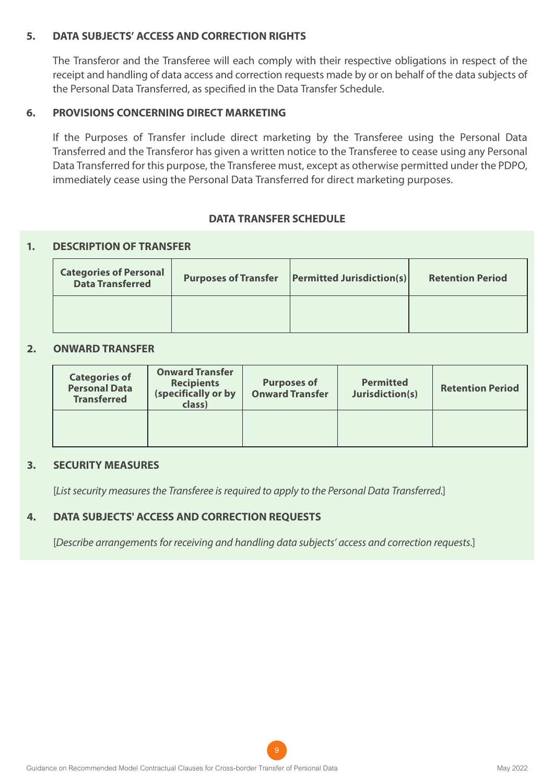#### **5. DATA SUBJECTS' ACCESS AND CORRECTION RIGHTS**

The Transferor and the Transferee will each comply with their respective obligations in respect of the receipt and handling of data access and correction requests made by or on behalf of the data subjects of the Personal Data Transferred, as specified in the Data Transfer Schedule.

#### **6. PROVISIONS CONCERNING DIRECT MARKETING**

If the Purposes of Transfer include direct marketing by the Transferee using the Personal Data Transferred and the Transferor has given a written notice to the Transferee to cease using any Personal Data Transferred for this purpose, the Transferee must, except as otherwise permitted under the PDPO, immediately cease using the Personal Data Transferred for direct marketing purposes.

#### **DATA TRANSFER SCHEDULE**

#### **1. DESCRIPTION OF TRANSFER**

| <b>Categories of Personal</b><br><b>Data Transferred</b> | <b>Purposes of Transfer</b> | $\left $ Permitted Jurisdiction(s) | <b>Retention Period</b> |
|----------------------------------------------------------|-----------------------------|------------------------------------|-------------------------|
|                                                          |                             |                                    |                         |

#### **2. ONWARD TRANSFER**

| <b>Categories of</b><br><b>Personal Data</b><br><b>Transferred</b> | <b>Onward Transfer</b><br><b>Recipients</b><br>(specifically or by<br>class) | <b>Purposes of</b><br><b>Onward Transfer</b> | <b>Permitted</b><br>Jurisdiction(s) | <b>Retention Period</b> |
|--------------------------------------------------------------------|------------------------------------------------------------------------------|----------------------------------------------|-------------------------------------|-------------------------|
|                                                                    |                                                                              |                                              |                                     |                         |

#### **3. SECURITY MEASURES**

[*List security measures the Transferee is required to apply to the Personal Data Transferred.*]

#### **4. DATA SUBJECTS' ACCESS AND CORRECTION REQUESTS**

[*Describe arrangements for receiving and handling data subjects' access and correction requests.*]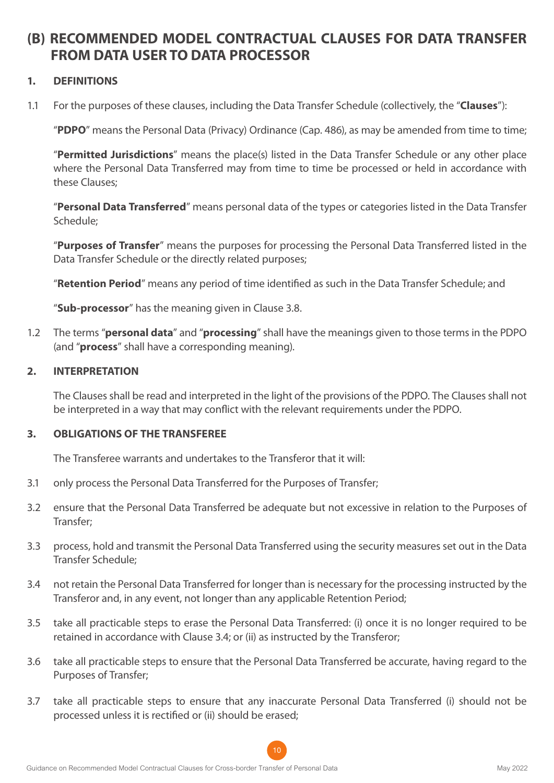### **(B) RECOMMENDED MODEL CONTRACTUAL CLAUSES FOR DATA TRANSFER FROM DATA USER TO DATA PROCESSOR**

#### **1. DEFINITIONS**

1.1 For the purposes of these clauses, including the Data Transfer Schedule (collectively, the "**Clauses**"):

"**PDPO**" means the Personal Data (Privacy) Ordinance (Cap. 486), as may be amended from time to time;

"**Permitted Jurisdictions**" means the place(s) listed in the Data Transfer Schedule or any other place where the Personal Data Transferred may from time to time be processed or held in accordance with these Clauses;

"**Personal Data Transferred**" means personal data of the types or categories listed in the Data Transfer Schedule;

"**Purposes of Transfer**" means the purposes for processing the Personal Data Transferred listed in the Data Transfer Schedule or the directly related purposes;

"**Retention Period**" means any period of time identified as such in the Data Transfer Schedule; and

"**Sub-processor**" has the meaning given in Clause 3.8.

1.2 The terms "**personal data**" and "**processing**" shall have the meanings given to those terms in the PDPO (and "**process**" shall have a corresponding meaning).

#### **2. INTERPRETATION**

The Clauses shall be read and interpreted in the light of the provisions of the PDPO. The Clauses shall not be interpreted in a way that may conflict with the relevant requirements under the PDPO.

#### **3. OBLIGATIONS OF THE TRANSFEREE**

The Transferee warrants and undertakes to the Transferor that it will:

- 3.1 only process the Personal Data Transferred for the Purposes of Transfer;
- 3.2 ensure that the Personal Data Transferred be adequate but not excessive in relation to the Purposes of Transfer;
- 3.3 process, hold and transmit the Personal Data Transferred using the security measures set out in the Data Transfer Schedule;
- 3.4 not retain the Personal Data Transferred for longer than is necessary for the processing instructed by the Transferor and, in any event, not longer than any applicable Retention Period;
- 3.5 take all practicable steps to erase the Personal Data Transferred: (i) once it is no longer required to be retained in accordance with Clause 3.4; or (ii) as instructed by the Transferor;
- 3.6 take all practicable steps to ensure that the Personal Data Transferred be accurate, having regard to the Purposes of Transfer;
- 3.7 take all practicable steps to ensure that any inaccurate Personal Data Transferred (i) should not be processed unless it is rectified or (ii) should be erased;

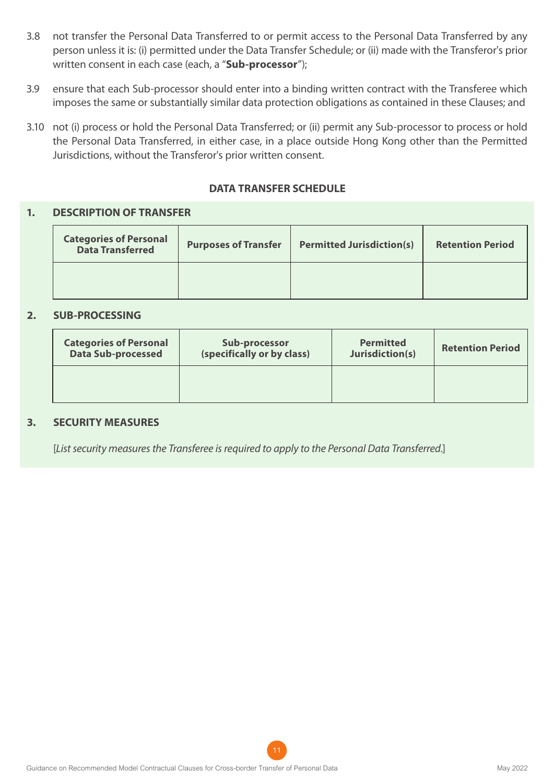- 3.8 not transfer the Personal Data Transferred to or permit access to the Personal Data Transferred by any person unless it is: (i) permitted under the Data Transfer Schedule; or (ii) made with the Transferor's prior written consent in each case (each, a "**Sub-processor**");
- 3.9 ensure that each Sub-processor should enter into a binding written contract with the Transferee which imposes the same or substantially similar data protection obligations as contained in these Clauses; and
- 3.10 not (i) process or hold the Personal Data Transferred; or (ii) permit any Sub-processor to process or hold the Personal Data Transferred, in either case, in a place outside Hong Kong other than the Permitted Jurisdictions, without the Transferor's prior written consent.

#### **DATA TRANSFER SCHEDULE**

#### **1. DESCRIPTION OF TRANSFER**

| <b>Categories of Personal</b><br><b>Data Transferred</b> | <b>Purposes of Transfer</b> | <b>Permitted Jurisdiction(s)</b> | <b>Retention Period</b> |
|----------------------------------------------------------|-----------------------------|----------------------------------|-------------------------|
|                                                          |                             |                                  |                         |

#### **2. SUB-PROCESSING**

| <b>Categories of Personal</b> | Sub-processor              | <b>Permitted</b> | <b>Retention Period</b> |
|-------------------------------|----------------------------|------------------|-------------------------|
| <b>Data Sub-processed</b>     | (specifically or by class) | Jurisdiction(s)  |                         |
|                               |                            |                  |                         |

#### **3. SECURITY MEASURES**

[*List security measures the Transferee is required to apply to the Personal Data Transferred.*]